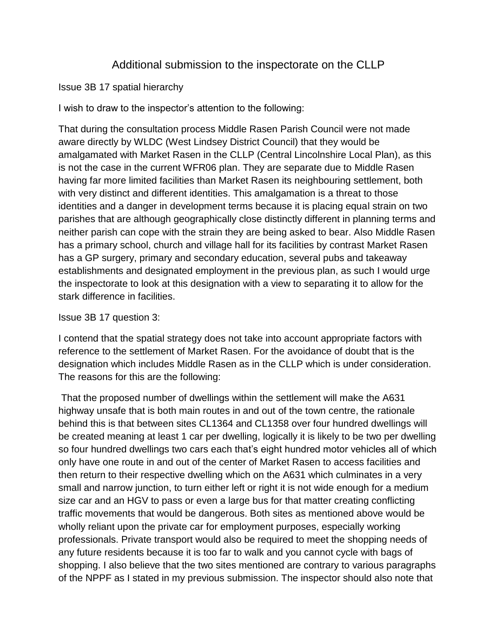## Additional submission to the inspectorate on the CLLP

Issue 3B 17 spatial hierarchy

I wish to draw to the inspector's attention to the following:

That during the consultation process Middle Rasen Parish Council were not made aware directly by WLDC (West Lindsey District Council) that they would be amalgamated with Market Rasen in the CLLP (Central Lincolnshire Local Plan), as this is not the case in the current WFR06 plan. They are separate due to Middle Rasen having far more limited facilities than Market Rasen its neighbouring settlement, both with very distinct and different identities. This amalgamation is a threat to those identities and a danger in development terms because it is placing equal strain on two parishes that are although geographically close distinctly different in planning terms and neither parish can cope with the strain they are being asked to bear. Also Middle Rasen has a primary school, church and village hall for its facilities by contrast Market Rasen has a GP surgery, primary and secondary education, several pubs and takeaway establishments and designated employment in the previous plan, as such I would urge the inspectorate to look at this designation with a view to separating it to allow for the stark difference in facilities.

## Issue 3B 17 question 3:

I contend that the spatial strategy does not take into account appropriate factors with reference to the settlement of Market Rasen. For the avoidance of doubt that is the designation which includes Middle Rasen as in the CLLP which is under consideration. The reasons for this are the following:

That the proposed number of dwellings within the settlement will make the A631 highway unsafe that is both main routes in and out of the town centre, the rationale behind this is that between sites CL1364 and CL1358 over four hundred dwellings will be created meaning at least 1 car per dwelling, logically it is likely to be two per dwelling so four hundred dwellings two cars each that's eight hundred motor vehicles all of which only have one route in and out of the center of Market Rasen to access facilities and then return to their respective dwelling which on the A631 which culminates in a very small and narrow junction, to turn either left or right it is not wide enough for a medium size car and an HGV to pass or even a large bus for that matter creating conflicting traffic movements that would be dangerous. Both sites as mentioned above would be wholly reliant upon the private car for employment purposes, especially working professionals. Private transport would also be required to meet the shopping needs of any future residents because it is too far to walk and you cannot cycle with bags of shopping. I also believe that the two sites mentioned are contrary to various paragraphs of the NPPF as I stated in my previous submission. The inspector should also note that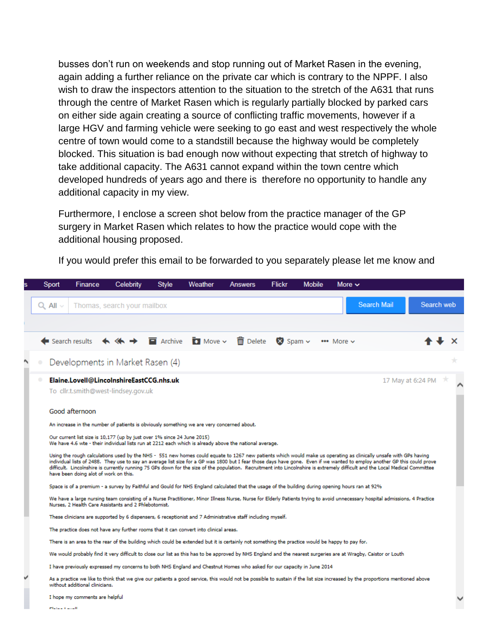busses don't run on weekends and stop running out of Market Rasen in the evening, again adding a further reliance on the private car which is contrary to the NPPF. I also wish to draw the inspectors attention to the situation to the stretch of the A631 that runs through the centre of Market Rasen which is regularly partially blocked by parked cars on either side again creating a source of conflicting traffic movements, however if a large HGV and farming vehicle were seeking to go east and west respectively the whole centre of town would come to a standstill because the highway would be completely blocked. This situation is bad enough now without expecting that stretch of highway to take additional capacity. The A631 cannot expand within the town centre which developed hundreds of years ago and there is therefore no opportunity to handle any additional capacity in my view.

Furthermore, I enclose a screen shot below from the practice manager of the GP surgery in Market Rasen which relates to how the practice would cope with the additional housing proposed.

Sport Finance Celebrity **Style** Weather **Answers Flickr Mobile** More  $\sim$ **Search Mail** Search web  $Q$  All  $\vee$ Thomas, search your mailbox Search results  $\leftrightarrow$  $\blacksquare$  Archive  $\overline{\mathbf{H}}$  Move  $\sim$  $\overline{\overline{\mathbf{m}}}$  Delete  $\otimes$  Spam  $\sim$ \*\*\* More v Developments in Market Rasen (4) Elaine.Lovell@LincolnshireEastCCG.nhs.uk 17 May at 6:24 PM  $\rightarrow$ To cllr.t.smith@west-lindsey.gov.uk Good afternoon An increase in the number of patients is obviously something we are very concerned about. Our current list size is 10,177 (up by just over 1% since 24 June 2015) We have 4.6 wte - their individual lists run at 2212 each which is already above the national average. Using the rough calculations used by the NHS - 551 new homes could equate to 1267 new patients which would make us operating as clinically unsafe with GPs having individual lists of 2488. They use to say an average list size for a GP was 1800 but I fear those days have gone. Even if we wanted to employ another GP this could prove<br>difficult. Lincolnshire is currently running 75 GPs have been doing alot of work on this. Space is of a premium - a survey by Faithful and Gould for NHS England calculated that the usage of the building during opening hours ran at 92% We have a large nursing team consisting of a Nurse Practitioner, Minor Illness Nurse, Nurse for Elderly Patients trying to avoid unnecessary hospital admissions, 4 Practice Nurses, 2 Health Care Assistants and 2 Phlebotomist. These clinicians are supported by 6 dispensers, 6 receptionist and 7 Administrative staff including myself. The practice does not have any further rooms that it can convert into clinical areas. There is an area to the rear of the building which could be extended but it is certainly not something the practice would be happy to pay for. We would probably find it very difficult to close our list as this has to be approved by NHS England and the nearest surgeries are at Wragby, Caistor or Louth I have previously expressed my concerns to both NHS England and Chestnut Homes who asked for our capacity in June 2014 As a practice we like to think that we give our patients a good service, this would not be possible to sustain if the list size increased by the proportions mentioned above without additional clinicians. I hope my comments are helpful

If you would prefer this email to be forwarded to you separately please let me know and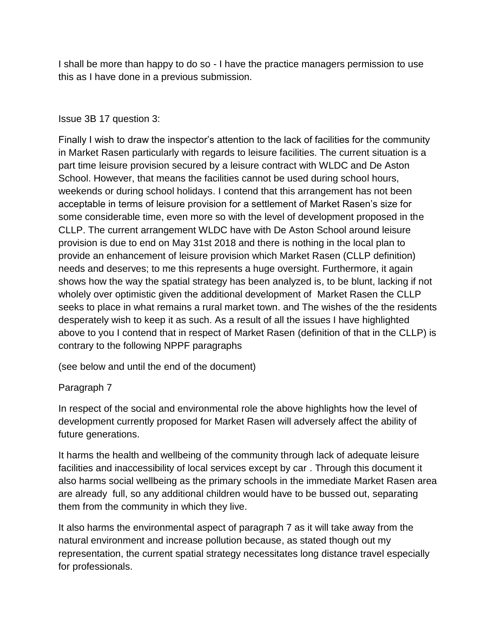I shall be more than happy to do so - I have the practice managers permission to use this as I have done in a previous submission.

## Issue 3B 17 question 3:

Finally I wish to draw the inspector's attention to the lack of facilities for the community in Market Rasen particularly with regards to leisure facilities. The current situation is a part time leisure provision secured by a leisure contract with WLDC and De Aston School. However, that means the facilities cannot be used during school hours, weekends or during school holidays. I contend that this arrangement has not been acceptable in terms of leisure provision for a settlement of Market Rasen's size for some considerable time, even more so with the level of development proposed in the CLLP. The current arrangement WLDC have with De Aston School around leisure provision is due to end on May 31st 2018 and there is nothing in the local plan to provide an enhancement of leisure provision which Market Rasen (CLLP definition) needs and deserves; to me this represents a huge oversight. Furthermore, it again shows how the way the spatial strategy has been analyzed is, to be blunt, lacking if not wholely over optimistic given the additional development of Market Rasen the CLLP seeks to place in what remains a rural market town. and The wishes of the the residents desperately wish to keep it as such. As a result of all the issues I have highlighted above to you I contend that in respect of Market Rasen (definition of that in the CLLP) is contrary to the following NPPF paragraphs

(see below and until the end of the document)

## Paragraph 7

In respect of the social and environmental role the above highlights how the level of development currently proposed for Market Rasen will adversely affect the ability of future generations.

It harms the health and wellbeing of the community through lack of adequate leisure facilities and inaccessibility of local services except by car . Through this document it also harms social wellbeing as the primary schools in the immediate Market Rasen area are already full, so any additional children would have to be bussed out, separating them from the community in which they live.

It also harms the environmental aspect of paragraph 7 as it will take away from the natural environment and increase pollution because, as stated though out my representation, the current spatial strategy necessitates long distance travel especially for professionals.